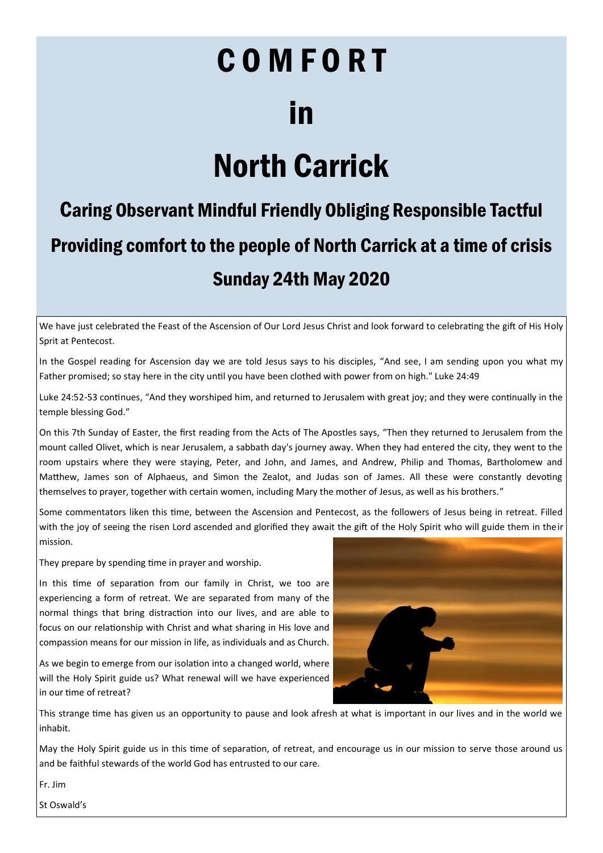# COMFORT in

## North Carrick

### Caring Observant Mindful Friendly Obliging Responsible Tactful Providing comfort to the people of North Carrick at a time of crisis Sunday 24th May 2020

We have just celebrated the Feast of the Ascension of Our Lord Jesus Christ and look forward to celebrating the gift of His Holy Sprit at Pentecost.

In the Gospel reading for Ascension day we are told Jesus says to his disciples, "And see, I am sending upon you what my Father promised; so stay here in the city until you have been clothed with power from on high." Luke 24:49

Luke 24:52-53 continues, "And they worshiped him, and returned to Jerusalem with great joy; and they were continually in the temple blessing God."

On this 7th Sunday of Easter, the first reading from the Acts of The Apostles says, "Then they returned to Jerusalem from the mount called Olivet, which is near Jerusalem, a sabbath day's journey away. When they had entered the city, they went to the room upstairs where they were staying, Peter, and John, and James, and Andrew, Philip and Thomas, Bartholomew and Matthew, James son of Alphaeus, and Simon the Zealot, and Judas son of James. All these were constantly devoting themselves to prayer, together with certain women, including Mary the mother of Jesus, as well as his brothers."

Some commentators liken this time, between the Ascension and Pentecost, as the followers of Jesus being in retreat. Filled with the joy of seeing the risen Lord ascended and glorified they await the gift of the Holy Spirit who will guide them in their mission.

They prepare by spending time in prayer and worship.

In this time of separation from our family in Christ, we too are experiencing a form of retreat. We are separated from many of the normal things that bring distraction into our lives, and are able to focus on our relationship with Christ and what sharing in His love and compassion means for our mission in life, as individuals and as Church.

As we begin to emerge from our isolation into a changed world, where will the Holy Spirit guide us? What renewal will we have experienced in our time of retreat?



This strange time has given us an opportunity to pause and look afresh at what is important in our lives and in the world we inhabit.

May the Holy Spirit guide us in this time of separation, of retreat, and encourage us in our mission to serve those around us and be faithful stewards of the world God has entrusted to our care.

Fr. Jim

St Oswald's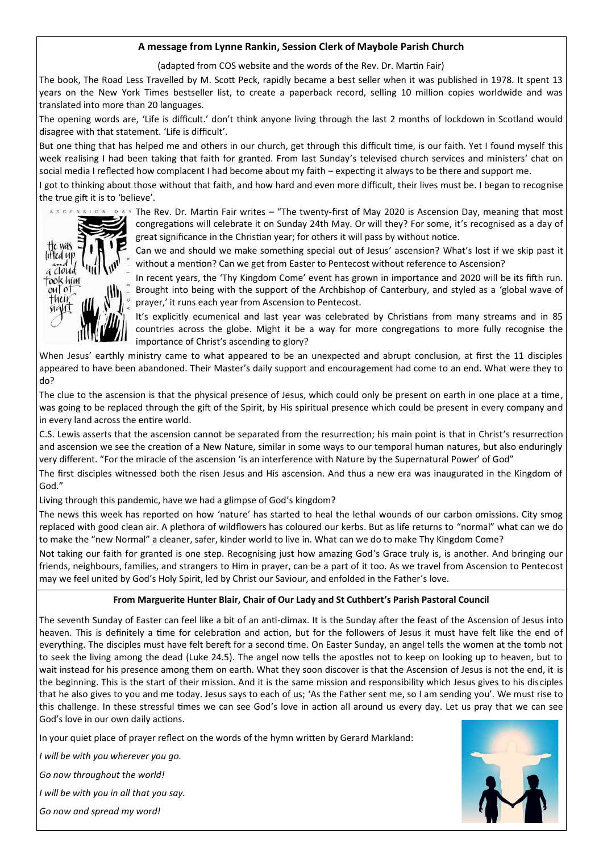#### **A message from Lynne Rankin, Session Clerk of Maybole Parish Church**

(adapted from COS website and the words of the Rev. Dr. Martin Fair)

The book, The Road Less Travelled by M. Scott Peck, rapidly became a best seller when it was published in 1978. It spent 13 years on the New York Times bestseller list, to create a paperback record, selling 10 million copies worldwide and was translated into more than 20 languages.

The opening words are, 'Life is difficult.' don't think anyone living through the last 2 months of lockdown in Scotland would disagree with that statement. 'Life is difficult'.

But one thing that has helped me and others in our church, get through this difficult time, is our faith. Yet I found myself this week realising I had been taking that faith for granted. From last Sunday's televised church services and ministers' chat on social media I reflected how complacent I had become about my faith – expecting it always to be there and support me.

I got to thinking about those without that faith, and how hard and even more difficult, their lives must be. I began to recognise the true gift it is to 'believe'.



STON DAY The Rev. Dr. Martin Fair writes – "The twenty-first of May 2020 is Ascension Day, meaning that most congregations will celebrate it on Sunday 24th May. Or will they? For some, it's recognised as a day of great significance in the Christian year; for others it will pass by without notice.

> Can we and should we make something special out of Jesus' ascension? What's lost if we skip past it without a mention? Can we get from Easter to Pentecost without reference to Ascension?

> In recent years, the 'Thy Kingdom Come' event has grown in importance and 2020 will be its fifth run. Brought into being with the support of the Archbishop of Canterbury, and styled as a 'global wave of prayer,' it runs each year from Ascension to Pentecost.

> It's explicitly ecumenical and last year was celebrated by Christians from many streams and in 85 countries across the globe. Might it be a way for more congregations to more fully recognise the importance of Christ's ascending to glory?

When Jesus' earthly ministry came to what appeared to be an unexpected and abrupt conclusion, at first the 11 disciples appeared to have been abandoned. Their Master's daily support and encouragement had come to an end. What were they to do?

The clue to the ascension is that the physical presence of Jesus, which could only be present on earth in one place at a time, was going to be replaced through the gift of the Spirit, by His spiritual presence which could be present in every company and in every land across the entire world.

C.S. Lewis asserts that the ascension cannot be separated from the resurrection; his main point is that in Christ's resurrection and ascension we see the creation of a New Nature, similar in some ways to our temporal human natures, but also enduringly very different. "For the miracle of the ascension 'is an interference with Nature by the Supernatural Power' of God"

The first disciples witnessed both the risen Jesus and His ascension. And thus a new era was inaugurated in the Kingdom of God."

Living through this pandemic, have we had a glimpse of God's kingdom?

The news this week has reported on how 'nature' has started to heal the lethal wounds of our carbon omissions. City smog replaced with good clean air. A plethora of wildflowers has coloured our kerbs. But as life returns to "normal" what can we do to make the "new Normal" a cleaner, safer, kinder world to live in. What can we do to make Thy Kingdom Come?

Not taking our faith for granted is one step. Recognising just how amazing God's Grace truly is, is another. And bringing our friends, neighbours, families, and strangers to Him in prayer, can be a part of it too. As we travel from Ascension to Pentecost may we feel united by God's Holy Spirit, led by Christ our Saviour, and enfolded in the Father's love.

#### **From Marguerite Hunter Blair, Chair of Our Lady and St Cuthbert's Parish Pastoral Council**

The seventh Sunday of Easter can feel like a bit of an anti-climax. It is the Sunday after the feast of the Ascension of Jesus into heaven. This is definitely a time for celebration and action, but for the followers of Jesus it must have felt like the end of everything. The disciples must have felt bereft for a second time. On Easter Sunday, an angel tells the women at the tomb not to seek the living among the dead (Luke 24.5). The angel now tells the apostles not to keep on looking up to heaven, but to wait instead for his presence among them on earth. What they soon discover is that the Ascension of Jesus is not the end, it is the beginning. This is the start of their mission. And it is the same mission and responsibility which Jesus gives to his disciples that he also gives to you and me today. Jesus says to each of us; 'As the Father sent me, so I am sending you'. We must rise to this challenge. In these stressful times we can see God's love in action all around us every day. Let us pray that we can see God's love in our own daily actions.

In your quiet place of prayer reflect on the words of the hymn written by Gerard Markland:

*I will be with you wherever you go.*

*Go now throughout the world!*

*I will be with you in all that you say.*

*Go now and spread my word!*

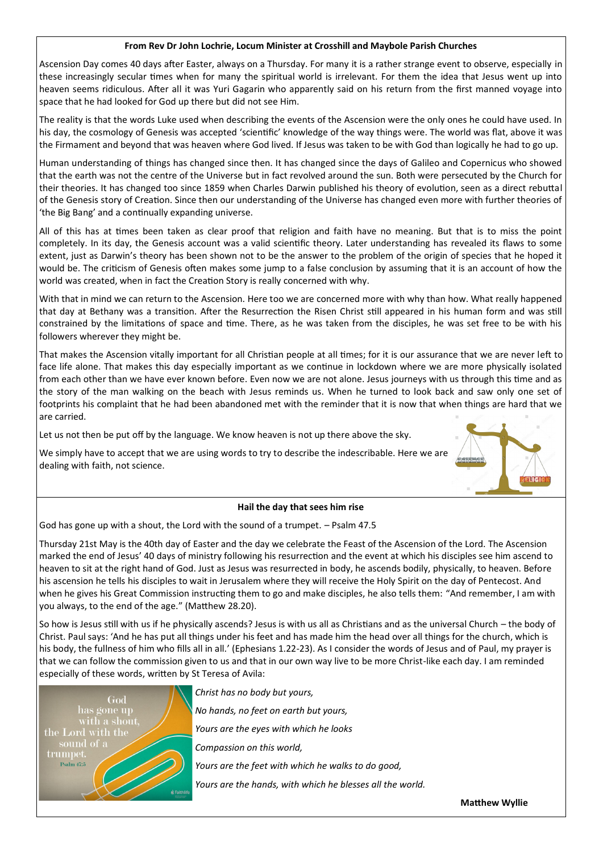#### **From Rev Dr John Lochrie, Locum Minister at Crosshill and Maybole Parish Churches**

Ascension Day comes 40 days after Easter, always on a Thursday. For many it is a rather strange event to observe, especially in these increasingly secular times when for many the spiritual world is irrelevant. For them the idea that Jesus went up into heaven seems ridiculous. After all it was Yuri Gagarin who apparently said on his return from the first manned voyage into space that he had looked for God up there but did not see Him.

The reality is that the words Luke used when describing the events of the Ascension were the only ones he could have used. In his day, the cosmology of Genesis was accepted 'scientific' knowledge of the way things were. The world was flat, above it was the Firmament and beyond that was heaven where God lived. If Jesus was taken to be with God than logically he had to go up.

Human understanding of things has changed since then. It has changed since the days of Galileo and Copernicus who showed that the earth was not the centre of the Universe but in fact revolved around the sun. Both were persecuted by the Church for their theories. It has changed too since 1859 when Charles Darwin published his theory of evolution, seen as a direct rebuttal of the Genesis story of Creation. Since then our understanding of the Universe has changed even more with further theories of 'the Big Bang' and a continually expanding universe.

All of this has at times been taken as clear proof that religion and faith have no meaning. But that is to miss the point completely. In its day, the Genesis account was a valid scientific theory. Later understanding has revealed its flaws to some extent, just as Darwin's theory has been shown not to be the answer to the problem of the origin of species that he hoped it would be. The criticism of Genesis often makes some jump to a false conclusion by assuming that it is an account of how the world was created, when in fact the Creation Story is really concerned with why.

With that in mind we can return to the Ascension. Here too we are concerned more with why than how. What really happened that day at Bethany was a transition. After the Resurrection the Risen Christ still appeared in his human form and was still constrained by the limitations of space and time. There, as he was taken from the disciples, he was set free to be with his followers wherever they might be.

That makes the Ascension vitally important for all Christian people at all times; for it is our assurance that we are never left to face life alone. That makes this day especially important as we continue in lockdown where we are more physically isolated from each other than we have ever known before. Even now we are not alone. Jesus journeys with us through this time and as the story of the man walking on the beach with Jesus reminds us. When he turned to look back and saw only one set of footprints his complaint that he had been abandoned met with the reminder that it is now that when things are hard that we are carried.

Let us not then be put off by the language. We know heaven is not up there above the sky.

We simply have to accept that we are using words to try to describe the indescribable. Here we are dealing with faith, not science.



#### **Hail the day that sees him rise**

God has gone up with a shout, the Lord with the sound of a trumpet. – Psalm 47.5

Thursday 21st May is the 40th day of Easter and the day we celebrate the Feast of the Ascension of the Lord. The Ascension marked the end of Jesus' 40 days of ministry following his resurrection and the event at which his disciples see him ascend to heaven to sit at the right hand of God. Just as Jesus was resurrected in body, he ascends bodily, physically, to heaven. Before his ascension he tells his disciples to wait in Jerusalem where they will receive the Holy Spirit on the day of Pentecost. And when he gives his Great Commission instructing them to go and make disciples, he also tells them: "And remember, I am with you always, to the end of the age." (Matthew 28.20).

So how is Jesus still with us if he physically ascends? Jesus is with us all as Christians and as the universal Church – the body of Christ. Paul says: 'And he has put all things under his feet and has made him the head over all things for the church, which is his body, the fullness of him who fills all in all.' (Ephesians 1.22-23). As I consider the words of Jesus and of Paul, my prayer is that we can follow the commission given to us and that in our own way live to be more Christ-like each day. I am reminded especially of these words, written by St Teresa of Avila:



*Christ has no body but yours,*

*No hands, no feet on earth but yours,*

*Yours are the eyes with which he looks*

*Compassion on this world,*

*Yours are the feet with which he walks to do good,*

*Yours are the hands, with which he blesses all the world.*

**Matthew Wyllie**